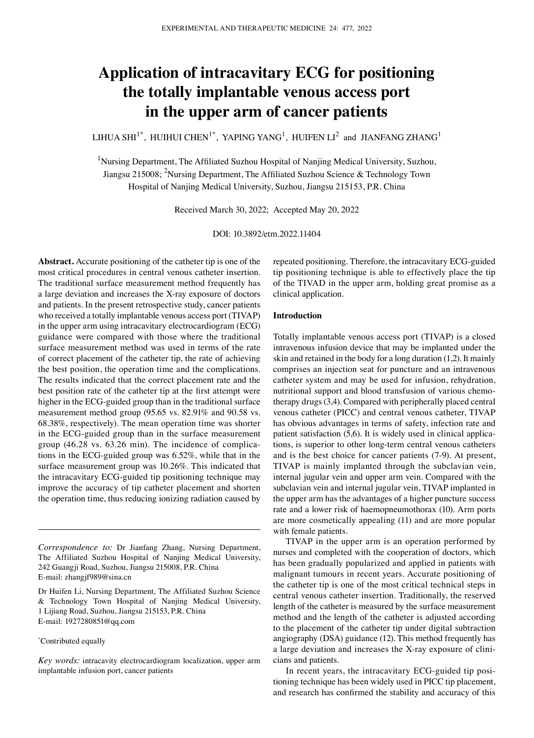# **Application of intracavitary ECG for positioning the totally implantable venous access port in the upper arm of cancer patients**

LIHUA SHI $^{1^\ast}$ , HUIHUI CHEN $^{1^\ast}$ , YAPING YANG $^1$ , HUIFEN LI $^2$  and JIANFANG ZHANG $^1$ 

<sup>1</sup>Nursing Department, The Affiliated Suzhou Hospital of Nanjing Medical University, Suzhou, Jiangsu 215008; <sup>2</sup>Nursing Department, The Affiliated Suzhou Science & Technology Town Hospital of Nanjing Medical University, Suzhou, Jiangsu 215153, P.R. China

Received March 30, 2022; Accepted May 20, 2022

DOI: 10.3892/etm.2022.11404

**Abstract.** Accurate positioning of the catheter tip is one of the most critical procedures in central venous catheter insertion. The traditional surface measurement method frequently has a large deviation and increases the X‑ray exposure of doctors and patients. In the present retrospective study, cancer patients who received a totally implantable venous access port (TIVAP) in the upper arm using intracavitary electrocardiogram (ECG) guidance were compared with those where the traditional surface measurement method was used in terms of the rate of correct placement of the catheter tip, the rate of achieving the best position, the operation time and the complications. The results indicated that the correct placement rate and the best position rate of the catheter tip at the first attempt were higher in the ECG‑guided group than in the traditional surface measurement method group (95.65 vs. 82.91% and 90.58 vs. 68.38%, respectively). The mean operation time was shorter in the ECG‑guided group than in the surface measurement group (46.28 vs. 63.26 min). The incidence of complications in the ECG‑guided group was 6.52%, while that in the surface measurement group was 10.26%. This indicated that the intracavitary ECG‑guided tip positioning technique may improve the accuracy of tip catheter placement and shorten the operation time, thus reducing ionizing radiation caused by

#### \* Contributed equally

*Key words:* intracavity electrocardiogram localization, upper arm implantable infusion port, cancer patients

repeated positioning. Therefore, the intracavitary ECG‑guided tip positioning technique is able to effectively place the tip of the TIVAD in the upper arm, holding great promise as a clinical application.

#### **Introduction**

Totally implantable venous access port (TIVAP) is a closed intravenous infusion device that may be implanted under the skin and retained in the body for a long duration (1,2). It mainly comprises an injection seat for puncture and an intravenous catheter system and may be used for infusion, rehydration, nutritional support and blood transfusion of various chemotherapy drugs(3,4). Compared with peripherally placed central venous catheter (PICC) and central venous catheter, TIVAP has obvious advantages in terms of safety, infection rate and patient satisfaction (5,6). It is widely used in clinical applications, is superior to other long‑term central venous catheters and is the best choice for cancer patients (7‑9). At present, TIVAP is mainly implanted through the subclavian vein, internal jugular vein and upper arm vein. Compared with the subclavian vein and internal jugular vein, TIVAP implanted in the upper arm has the advantages of a higher puncture success rate and a lower risk of haemopneumothorax (10). Arm ports are more cosmetically appealing (11) and are more popular with female patients.

TIVAP in the upper arm is an operation performed by nurses and completed with the cooperation of doctors, which has been gradually popularized and applied in patients with malignant tumours in recent years. Accurate positioning of the catheter tip is one of the most critical technical steps in central venous catheter insertion. Traditionally, the reserved length of the catheter is measured by the surface measurement method and the length of the catheter is adjusted according to the placement of the catheter tip under digital subtraction angiography (DSA) guidance (12). This method frequently has a large deviation and increases the X-ray exposure of clinicians and patients.

In recent years, the intracavitary ECG-guided tip positioning technique has been widely used in PICC tip placement, and research has confirmed the stability and accuracy of this

*Correspondence to:* Dr Jianfang Zhang, Nursing Department, The Affiliated Suzhou Hospital of Nanjing Medical University, 242 Guangji Road, Suzhou, Jiangsu 215008, P.R. China E‑mail: zhangjf989@sina.cn

Dr Huifen Li, Nursing Department, The Affiliated Suzhou Science & Technology Town Hospital of Nanjing Medical University, 1 Lijiang Road, Suzhou, Jiangsu 215153, P.R. China E‑mail: 1927280851@qq.com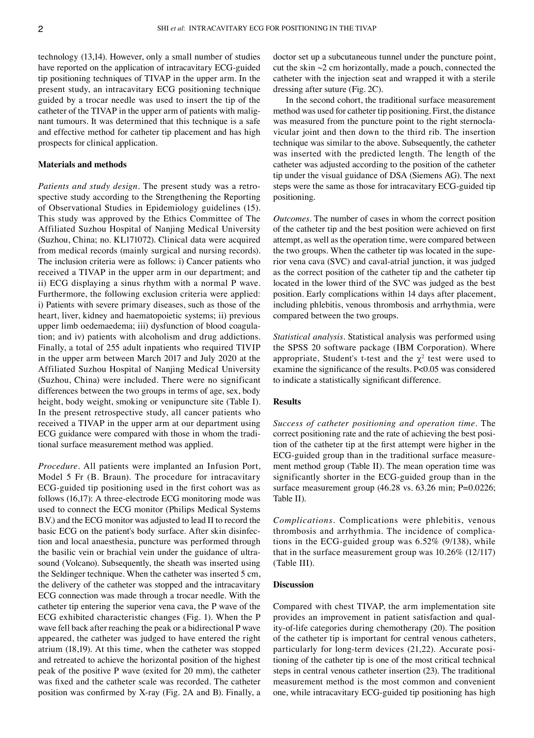technology (13,14). However, only a small number of studies have reported on the application of intracavitary ECG‑guided tip positioning techniques of TIVAP in the upper arm. In the present study, an intracavitary ECG positioning technique guided by a trocar needle was used to insert the tip of the catheter of the TIVAP in the upper arm of patients with malignant tumours. It was determined that this technique is a safe and effective method for catheter tip placement and has high prospects for clinical application.

#### **Materials and methods**

*Patients and study design.* The present study was a retrospective study according to the Strengthening the Reporting of Observational Studies in Epidemiology guidelines (15). This study was approved by the Ethics Committee of The Affiliated Suzhou Hospital of Nanjing Medical University (Suzhou, China; no. KL171072). Clinical data were acquired from medical records (mainly surgical and nursing records). The inclusion criteria were as follows: i) Cancer patients who received a TIVAP in the upper arm in our department; and ii) ECG displaying a sinus rhythm with a normal P wave. Furthermore, the following exclusion criteria were applied: i) Patients with severe primary diseases, such as those of the heart, liver, kidney and haematopoietic systems; ii) previous upper limb oedemaedema; iii) dysfunction of blood coagulation; and iv) patients with alcoholism and drug addictions. Finally, a total of 255 adult inpatients who required TIVIP in the upper arm between March 2017 and July 2020 at the Affiliated Suzhou Hospital of Nanjing Medical University (Suzhou, China) were included. There were no significant differences between the two groups in terms of age, sex, body height, body weight, smoking or venipuncture site (Table I). In the present retrospective study, all cancer patients who received a TIVAP in the upper arm at our department using ECG guidance were compared with those in whom the traditional surface measurement method was applied.

*Procedure.* All patients were implanted an Infusion Port, Model 5 Fr (B. Braun). The procedure for intracavitary ECG‑guided tip positioning used in the first cohort was as follows (16,17): A three-electrode ECG monitoring mode was used to connect the ECG monitor (Philips Medical Systems B.V.) and the ECG monitor was adjusted to lead II to record the basic ECG on the patient's body surface. After skin disinfection and local anaesthesia, puncture was performed through the basilic vein or brachial vein under the guidance of ultrasound (Volcano). Subsequently, the sheath was inserted using the Seldinger technique. When the catheter was inserted 5 cm, the delivery of the catheter was stopped and the intracavitary ECG connection was made through a trocar needle. With the catheter tip entering the superior vena cava, the P wave of the ECG exhibited characteristic changes (Fig. 1). When the P wave fell back after reaching the peak or a bidirectional P wave appeared, the catheter was judged to have entered the right atrium (18,19). At this time, when the catheter was stopped and retreated to achieve the horizontal position of the highest peak of the positive P wave (exited for 20 mm), the catheter was fixed and the catheter scale was recorded. The catheter position was confirmed by X‑ray (Fig. 2A and B). Finally, a doctor set up a subcutaneous tunnel under the puncture point, cut the skin ~2 cm horizontally, made a pouch, connected the catheter with the injection seat and wrapped it with a sterile dressing after suture (Fig. 2C).

In the second cohort, the traditional surface measurement method was used for catheter tip positioning. First, the distance was measured from the puncture point to the right sternoclavicular joint and then down to the third rib. The insertion technique was similar to the above. Subsequently, the catheter was inserted with the predicted length. The length of the catheter was adjusted according to the position of the catheter tip under the visual guidance of DSA (Siemens AG). The next steps were the same as those for intracavitary ECG‑guided tip positioning.

*Outcomes.* The number of cases in whom the correct position of the catheter tip and the best position were achieved on first attempt, as well as the operation time, were compared between the two groups. When the catheter tip was located in the superior vena cava (SVC) and caval-atrial junction, it was judged as the correct position of the catheter tip and the catheter tip located in the lower third of the SVC was judged as the best position. Early complications within 14 days after placement, including phlebitis, venous thrombosis and arrhythmia, were compared between the two groups.

*Statistical analysis.* Statistical analysis was performed using the SPSS 20 software package (IBM Corporation). Where appropriate, Student's t-test and the  $\chi^2$  test were used to examine the significance of the results. P<0.05 was considered to indicate a statistically significant difference.

## **Results**

*Success of catheter positioning and operation time.* The correct positioning rate and the rate of achieving the best position of the catheter tip at the first attempt were higher in the ECG-guided group than in the traditional surface measurement method group (Table II). The mean operation time was significantly shorter in the ECG‑guided group than in the surface measurement group (46.28 vs. 63.26 min; P=0.0226; Table II).

*Complications.* Complications were phlebitis, venous thrombosis and arrhythmia. The incidence of complica‑ tions in the ECG-guided group was 6.52% (9/138), while that in the surface measurement group was 10.26% (12/117) (Table III).

# **Discussion**

Compared with chest TIVAP, the arm implementation site provides an improvement in patient satisfaction and quality-of-life categories during chemotherapy (20). The position of the catheter tip is important for central venous catheters, particularly for long-term devices (21,22). Accurate positioning of the catheter tip is one of the most critical technical steps in central venous catheter insertion (23). The traditional measurement method is the most common and convenient one, while intracavitary ECG‑guided tip positioning has high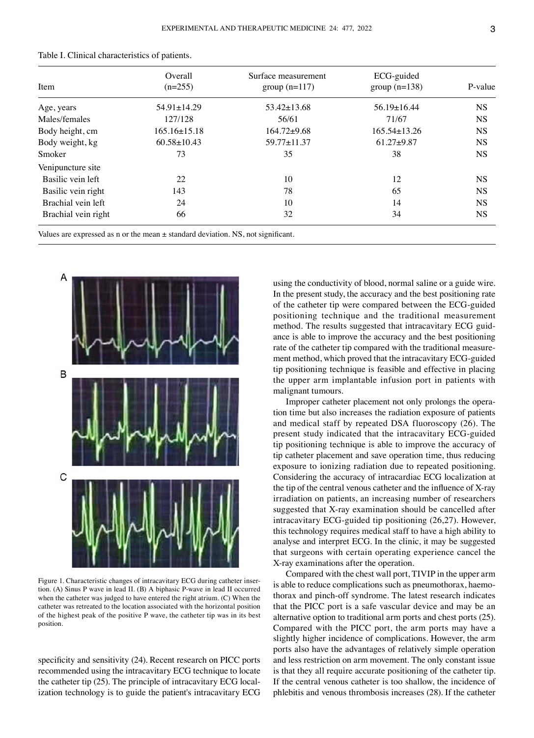| Item                | Overall<br>$(n=255)$ | Surface measurement<br>group $(n=117)$ | ECG-guided<br>group $(n=138)$ | P-value   |
|---------------------|----------------------|----------------------------------------|-------------------------------|-----------|
| Age, years          | $54.91 \pm 14.29$    | $53.42 \pm 13.68$                      | $56.19 \pm 16.44$             | <b>NS</b> |
| Males/females       | 127/128              | 56/61                                  | 71/67                         | <b>NS</b> |
| Body height, cm     | $165.16\pm15.18$     | $164.72 + 9.68$                        | $165.54\pm13.26$              | <b>NS</b> |
| Body weight, kg     | $60.58 \pm 10.43$    | $59.77 \pm 11.37$                      | $61.27 + 9.87$                | <b>NS</b> |
| Smoker              | 73                   | 35                                     | 38                            | <b>NS</b> |
| Venipuncture site   |                      |                                        |                               |           |
| Basilic vein left   | 22                   | 10                                     | 12                            | <b>NS</b> |
| Basilic vein right  | 143                  | 78                                     | 65                            | <b>NS</b> |
| Brachial vein left  | 24                   | 10                                     | 14                            | <b>NS</b> |
| Brachial vein right | 66                   | 32                                     | 34                            | <b>NS</b> |

| Table I. Clinical characteristics of patients. |  |  |
|------------------------------------------------|--|--|
|------------------------------------------------|--|--|

Values are expressed as n or the mean  $\pm$  standard deviation. NS, not significant.



Figure 1. Characteristic changes of intracavitary ECG during catheter insertion. (A) Sinus P wave in lead II. (B) A biphasic P‑wave in lead II occurred when the catheter was judged to have entered the right atrium. (C) When the catheter was retreated to the location associated with the horizontal position of the highest peak of the positive P wave, the catheter tip was in its best position.

specificity and sensitivity (24). Recent research on PICC ports recommended using the intracavitary ECG technique to locate the catheter tip (25). The principle of intracavitary ECG localization technology is to guide the patient's intracavitary ECG using the conductivity of blood, normal saline or a guide wire. In the present study, the accuracy and the best positioning rate of the catheter tip were compared between the ECG‑guided positioning technique and the traditional measurement method. The results suggested that intracavitary ECG guidance is able to improve the accuracy and the best positioning rate of the catheter tip compared with the traditional measurement method, which proved that the intracavitary ECG‑guided tip positioning technique is feasible and effective in placing the upper arm implantable infusion port in patients with malignant tumours.

Improper catheter placement not only prolongs the operation time but also increases the radiation exposure of patients and medical staff by repeated DSA fluoroscopy (26). The present study indicated that the intracavitary ECG‑guided tip positioning technique is able to improve the accuracy of tip catheter placement and save operation time, thus reducing exposure to ionizing radiation due to repeated positioning. Considering the accuracy of intracardiac ECG localization at the tip of the central venous catheter and the influence of X-ray irradiation on patients, an increasing number of researchers suggested that X‑ray examination should be cancelled after intracavitary ECG‑guided tip positioning (26,27). However, this technology requires medical staff to have a high ability to analyse and interpret ECG. In the clinic, it may be suggested that surgeons with certain operating experience cancel the X‑ray examinations after the operation.

Compared with the chest wall port, TIVIP in the upper arm is able to reduce complications such as pneumothorax, haemothorax and pinch‑off syndrome. The latest research indicates that the PICC port is a safe vascular device and may be an alternative option to traditional arm ports and chest ports (25). Compared with the PICC port, the arm ports may have a slightly higher incidence of complications. However, the arm ports also have the advantages of relatively simple operation and less restriction on arm movement. The only constant issue is that they all require accurate positioning of the catheter tip. If the central venous catheter is too shallow, the incidence of phlebitis and venous thrombosis increases (28). If the catheter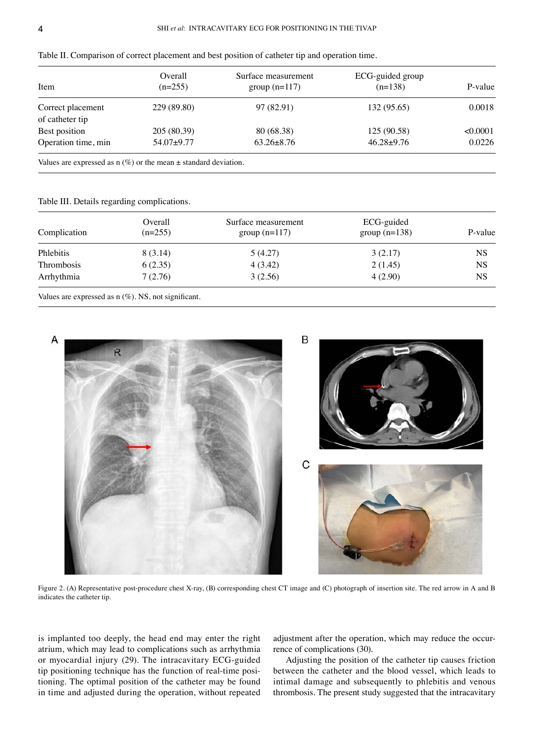| Item                                 | Overall<br>$(n=255)$ | Surface measurement<br>group $(n=117)$ | ECG-guided group<br>$(n=138)$ | P-value  |
|--------------------------------------|----------------------|----------------------------------------|-------------------------------|----------|
| Correct placement<br>of catheter tip | 229 (89.80)          | 97 (82.91)                             | 132 (95.65)                   | 0.0018   |
| Best position                        | 205 (80.39)          | 80 (68.38)                             | 125 (90.58)                   | < 0.0001 |
| Operation time, min                  | $54.07 + 9.77$       | $63.26 \pm 8.76$                       | $46.28 \pm 9.76$              | 0.0226   |

Table II. Comparison of correct placement and best position of catheter tip and operation time.

Values are expressed as  $n$  (%) or the mean  $\pm$  standard deviation.

Table III. Details regarding complications.

| Complication | Overall<br>$(n=255)$ | Surface measurement<br>group $(n=117)$ | ECG-guided<br>group $(n=138)$ | P-value   |
|--------------|----------------------|----------------------------------------|-------------------------------|-----------|
| Phlebitis    | 8 (3.14)             | 5(4.27)                                | 3(2.17)                       | NS        |
| Thrombosis   | 6(2.35)              | 4 (3.42)                               | 2(1.45)                       | <b>NS</b> |
| Arrhythmia   | 7(2.76)              | 3(2.56)                                | 4(2.90)                       | <b>NS</b> |

Values are expressed as  $n$  (%). NS, not significant.



Figure 2. (A) Representative post-procedure chest X-ray, (B) corresponding chest CT image and (C) photograph of insertion site. The red arrow in A and B indicates the catheter tip.

is implanted too deeply, the head end may enter the right atrium, which may lead to complications such as arrhythmia or myocardial injury (29). The intracavitary ECG‑guided tip positioning technique has the function of real-time positioning. The optimal position of the catheter may be found in time and adjusted during the operation, without repeated

adjustment after the operation, which may reduce the occurrence of complications (30).

Adjusting the position of the catheter tip causes friction between the catheter and the blood vessel, which leads to intimal damage and subsequently to phlebitis and venous thrombosis. The present study suggested that the intracavitary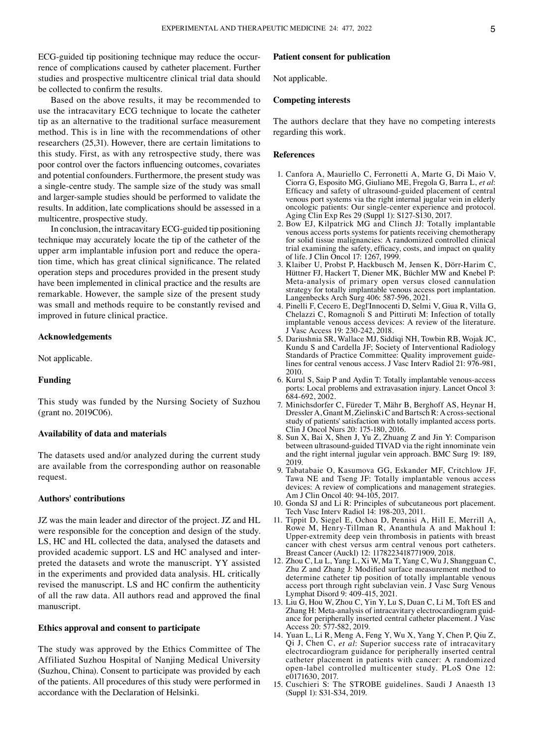ECG-guided tip positioning technique may reduce the occurrence of complications caused by catheter placement. Further studies and prospective multicentre clinical trial data should be collected to confirm the results.

Based on the above results, it may be recommended to use the intracavitary ECG technique to locate the catheter tip as an alternative to the traditional surface measurement method. This is in line with the recommendations of other researchers (25,31). However, there are certain limitations to this study. First, as with any retrospective study, there was poor control over the factors influencing outcomes, covariates and potential confounders. Furthermore, the present study was a single‑centre study. The sample size of the study was small and larger‑sample studies should be performed to validate the results. In addition, late complications should be assessed in a multicentre, prospective study.

In conclusion, the intracavitary ECG‑guided tip positioning technique may accurately locate the tip of the catheter of the upper arm implantable infusion port and reduce the operation time, which has great clinical significance. The related operation steps and procedures provided in the present study have been implemented in clinical practice and the results are remarkable. However, the sample size of the present study was small and methods require to be constantly revised and improved in future clinical practice.

#### **Acknowledgements**

Not applicable.

#### **Funding**

This study was funded by the Nursing Society of Suzhou (grant no. 2019C06).

## **Availability of data and materials**

The datasets used and/or analyzed during the current study are available from the corresponding author on reasonable request.

## **Authors' contributions**

JZ was the main leader and director of the project. JZ and HL were responsible for the conception and design of the study. LS, HC and HL collected the data, analysed the datasets and provided academic support. LS and HC analysed and interpreted the datasets and wrote the manuscript. YY assisted in the experiments and provided data analysis. HL critically revised the manuscript. LS and HC confirm the authenticity of all the raw data. All authors read and approved the final manuscript.

## **Ethics approval and consent to participate**

The study was approved by the Ethics Committee of The Affiliated Suzhou Hospital of Nanjing Medical University (Suzhou, China). Consent to participate was provided by each of the patients. All procedures of this study were performed in accordance with the Declaration of Helsinki.

## **Patient consent for publication**

Not applicable.

# **Competing interests**

The authors declare that they have no competing interests regarding this work.

#### **References**

- 1. Canfora A, Mauriello C, Ferronetti A, Marte G, Di Maio V, Ciorra G, Esposito MG, Giuliano ME, Fregola G, Barra L, *et al*: Efficacy and safety of ultrasound‑guided placement of central venous port systems via the right internal jugular vein in elderly oncologic patients: Our single‑center experience and protocol. Aging Clin Exp Res 29 (Suppl 1): S127‑S130, 2017.
- 2. Bow EJ, Kilpatrick MG and Clinch JJ: Totally implantable venous access ports systems for patients receiving chemotherapy for solid tissue malignancies: A randomized controlled clinical trial examining the safety, efficacy, costs, and impact on quality of life. J Clin Oncol 17: 1267, 1999.
- 3. Klaiber U, Probst P, Hackbusch M, Jensen K, Dörr‑Harim C, Hüttner FJ, Hackert T, Diener MK, Büchler MW and Knebel P: Meta‑analysis of primary open versus closed cannulation strategy for totally implantable venous access port implantation. Langenbecks Arch Surg 406: 587‑596, 2021.
- 4. Pinelli F, Cecero E, Degl'Innocenti D, Selmi V, Giua R, Villa G, Chelazzi C, Romagnoli S and Pittiruti M: Infection of totally implantable venous access devices: A review of the literature. J Vasc Access 19: 230‑242, 2018.
- 5. Dariushnia SR, Wallace MJ, Siddiqi NH, Towbin RB, Wojak JC, Kundu S and Cardella JF; Society of Interventional Radiology Standards of Practice Committee: Quality improvement guidelines for central venous access. J Vasc Interv Radiol 21: 976‑981, 2010.
- 6. Kurul S, Saip P and Aydin T: Totally implantable venous‑access ports: Local problems and extravasation injury. Lancet Oncol 3: 684‑692, 2002.
- 7. Minichsdorfer C, Füreder T, Mähr B, Berghoff AS, Heynar H, Dressler A, Gnant M, Zielinski C and Bartsch R: A cross-sectional study of patients' satisfaction with totally implanted access ports. Clin J Oncol Nurs 20: 175‑180, 2016.
- 8. Sun X, Bai X, Shen J, Yu Z, Zhuang Z and Jin Y: Comparison between ultrasound-guided TIVAD via the right innominate vein and the right internal jugular vein approach. BMC Surg 19: 189, 2019.
- 9. Tabatabaie O, Kasumova GG, Eskander MF, Critchlow JF, Tawa NE and Tseng JF: Totally implantable venous access devices: A review of complications and management strategies. Am J Clin Oncol 40: 94‑105, 2017.
- 10. Gonda SJ and Li R: Principles of subcutaneous port placement. Tech Vasc Interv Radiol 14: 198‑203, 2011.
- 11. Tippit D, Siegel E, Ochoa D, Pennisi A, Hill E, Merrill A, Rowe M, Henry‑Tillman R, Ananthula A and Makhoul I: Upper‑extremity deep vein thrombosis in patients with breast cancer with chest versus arm central venous port catheters. Breast Cancer (Auckl) 12: 1178223418771909, 2018.
- 12. Zhou C, Lu L, Yang L, Xi W, Ma T, Yang C, Wu J, Shangguan C, Zhu Z and Zhang J: Modified surface measurement method to determine catheter tip position of totally implantable venous access port through right subclavian vein. J Vasc Surg Venous Lymphat Disord 9: 409‑415, 2021.
- 13. Liu G, Hou W, Zhou C, Yin Y, Lu S, Duan C, Li M, Toft ES and Zhang H: Meta-analysis of intracavitary electrocardiogram guidance for peripherally inserted central catheter placement. J Vasc Access 20: 577‑582, 2019.
- 14. Yuan L, Li R, Meng A, Feng Y, Wu X, Yang Y, Chen P, Qiu Z, Qi J, Chen C, *et al*: Superior success rate of intracavitary electrocardiogram guidance for peripherally inserted central catheter placement in patients with cancer: A randomized open‑label controlled multicenter study. PLoS One 12: e0171630, 2017.
- 15. Cuschieri S: The STROBE guidelines. Saudi J Anaesth 13 (Suppl 1): S31‑S34, 2019.